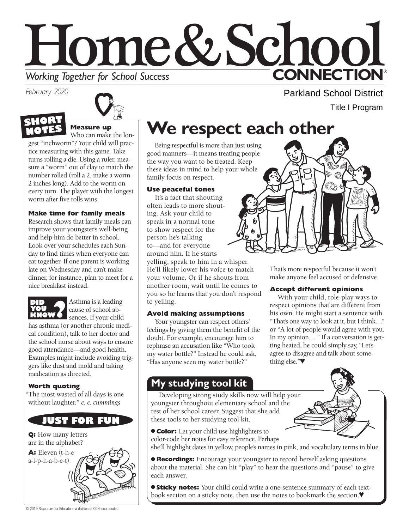# Home&School **CONNECTION® Working Together for School Success**

*February 2020* 



# **S Measure up**

Who can make the longest "inchworm"? Your child will practice measuring with this game. Take turns rolling a die. Using a ruler, measure a "worm" out of clay to match the number rolled (roll a 2, make a worm 2 inches long). Add to the worm on every turn. The player with the longest worm after five rolls wins.

### **Make time for family meals**

Research shows that family meals can improve your youngster's well-being and help him do better in school. Look over your schedules each Sunday to find times when everyone can eat together. If one parent is working late on Wednesday and can't make dinner, for instance, plan to meet for a nice breakfast instead.



**KNOW**<br> **KNOW**<br> **CAUSE CAUSE CONGERNMENT** sences. If your child

has asthma (or another chronic medical condition), talk to her doctor and the school nurse about ways to ensure good attendance—and good health. Examples might include avoiding triggers like dust and mold and taking medication as directed.

## **Worth quoting**

"The most wasted of all days is one without laughter." *e. e. cummings* 

# **JUST FOR FUN**

**Q:** How many letters are in the alphabet?

**A:** Eleven (t-h-e a-l-p-h-a-b-e-t).

# **We respect each other**

Being respectful is more than just using good manners—it means treating people the way you want to be treated. Keep these ideas in mind to help your whole family focus on respect.

### **Use peaceful tones**

It's a fact that shouting often leads to more shouting. Ask your child to speak in a normal tone to show respect for the person he's talking to—and for everyone around him. If he starts

yelling, speak to him in a whisper. He'll likely lower his voice to match your volume. Or if he shouts from another room, wait until he comes to you so he learns that you don't respond to yelling.

## **Avoid making assumptions**

Your youngster can respect others' feelings by giving them the benefit of the doubt. For example, encourage him to rephrase an accusation like "Who took my water bottle?" Instead he could ask, "Has anyone seen my water bottle?"

Parkland School District

Title I Program

That's more respectful because it won't make anyone feel accused or defensive.

## **Accept different opinions**

With your child, role-play ways to respect opinions that are different from his own. He might start a sentence with "That's one way to look at it, but I think…" or "A lot of people would agree with you. In my opinion… " If a conversation is getting heated, he could simply say, "Let's agree to disagree and talk about something else."♥

## **My studying tool kit**

Developing strong study skills now will help your youngster throughout elementary school and the rest of her school career. Suggest that she add these tools to her studying tool kit.

● **Color:** Let your child use highlighters to color-code her notes for easy reference. Perhaps she'll highlight dates in yellow, people's names in pink, and vocabulary terms in blue.

● **Recordings:** Encourage your youngster to record herself asking questions about the material. She can hit "play" to hear the questions and "pause" to give each answer.

● **Sticky notes:** Your child could write a one-sentence summary of each textbook section on a sticky note, then use the notes to bookmark the section.♥

© 2019 Resources for Educators, a division of CCH Incorporated